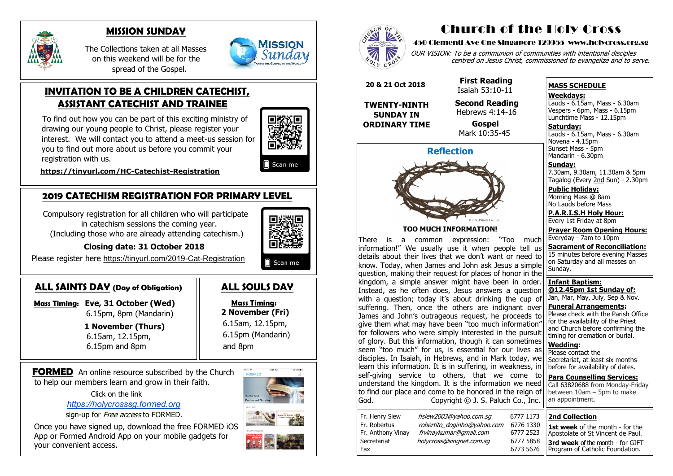## **2019 CATECHISM REGISTRATION FOR PRIMARY LEVEL**

 Compulsory registration for all children who will participate in catechism sessions the coming year. (Including those who are already attending catechism.)



 **Closing date: 31 October 2018**

Please register here [https://tinyurl.com/2019](https://tinyurl.com/2019-Cat-Registration)-Cat-Registration

## **ALL SAINTS DAY (Day of Obligation)**

 **Mass Timing: Eve, 31 October (Wed)**  6.15pm, 8pm (Mandarin)

> **1 November (Thurs)** 6.15am, 12.15pm, 6.15pm and 8pm

# **ALL SOULS DAY**

 **Mass Timing: 2 November (Fri)** 6.15am, 12.15pm, 6.15pm (Mandarin) and 8pm

**FORMED** An online resource subscribed by the Church to help our members learn and grow in their faith.

## **INVITATION TO BE A CHILDREN CATECHIST, ASSISTANT CATECHIST AND TRAINEE**

OUR VISION: To be a communion of communities with intentional disciples centred on Jesus Christ, commissioned to evangelize and to serve.

To find out how you can be part of this exciting ministry of drawing our young people to Christ, please register your interest. We will contact you to attend a meet-us session for you to find out more about us before you commit your registration with us.



Scan me

 **[https://tinyurl.com/HC](https://tinyurl.com/HC-Catechist-Registration)-Catechist-Registration**



### **MISSION SUNDAY**

**Saturday:** Lauds - 6.15am, Mass - 6.30am Novena - 4.15pm Sunset Mass - 5pm Mandarin - 6.30pm

 The Collections taken at all Masses on this weekend will be for the spread of the Gospel.



Click on the link

*[https://holycrosssg.formed.org](https://holycrosssg.formed.org/)*

sign-up for Free access to FORMED.

 Once you have signed up, download the free FORMED iOS App or Formed Android App on your mobile gadgets for your convenient access.





# Church of the Holy Cross

There is a common expression: "Too much information!" We usually use it when people tell us details about their lives that we don't want or need to know. Today, when James and John ask Jesus a simple question, making their request for places of honor in the kingdom, a simple answer might have been in order. Instead, as he often does, Jesus answers a question with a question; today it's about drinking the cup of suffering. Then, once the others are indignant over James and John's outrageous request, he proceeds to qive them what may have been "too much information" for followers who were simply interested in the pursuit of glory. But this information, though it can sometimes seem "too much" for us, is essential for our lives as disciples. In Isaiah, in Hebrews, and in Mark today, we learn this information. It is in suffering, in weakness, in self-giving service to others, that we come to understand the kingdom. It is the information we need to find our place and come to be honored in the reign of God. Copyright © J. S. Paluch Co., Inc.

| Fr. Henry Siew    |
|-------------------|
| Fr. Robertus      |
| Fr. Anthony Vinay |
| Secretariat       |
| Fax               |

hsiew 2003@yahoo.com.sq 6777 1173 robertito\_doginho@yahoo.com 6776 1330 frvinay kumar@gmail.com 6777 2523 holycross@singnet.com.sg 6777 5858

#### 450 Clementi Ave One Singapore 129955 www.holycross.org.sg

6773 5676

#### **MASS SCHEDULE**

#### **Weekdays:**

Lauds - 6.15am, Mass - 6.30am Vespers - 6pm, Mass - 6.15pm Lunchtime Mass - 12.15pm

**Sunday:** 7.30am, 9.30am, 11.30am & 5pm Tagalog (Every 2nd Sun) - 2.30pm

**Public Holiday:**  Morning Mass @ 8am No Lauds before Mass

**P.A.R.I.S.H Holy Hour:** Every 1st Friday at 8pm

**Prayer Room Opening Hours:** Everyday - 7am to 10pm

**Sacrament of Reconciliation:** 15 minutes before evening Masses on Saturday and all masses on Sunday.

**Infant Baptism: @12.45pm 1st Sunday of:** Jan, Mar, May, July, Sep & Nov.

**Funeral Arrangements:**  Please check with the Parish Office for the availability of the Priest and Church before confirming the timing for cremation or burial.

**Wedding:**  Please contact the Secretariat, at least six months before for availability of dates.

**Para Counselling Services:** Call [63820688](tel:+6563820688) from Monday-Friday between  $10$ am – 5pm to make an appointment.

## **Reflection**



**TOO MUCH INFORMATION!**

 **20 & 21 Oct 2018**

**TWENTY-NINTH SUNDAY IN ORDINARY TIME**

 **First Reading** Isaiah 53:10-11 **Second Reading** Hebrews 4:14-16

 **Gospel** Mark 10:35-45

#### **2nd Collection**

**1st week** of the month - for the Apostolate of St Vincent de Paul. **3rd week** of the month - for GIFT Program of Catholic Foundation.